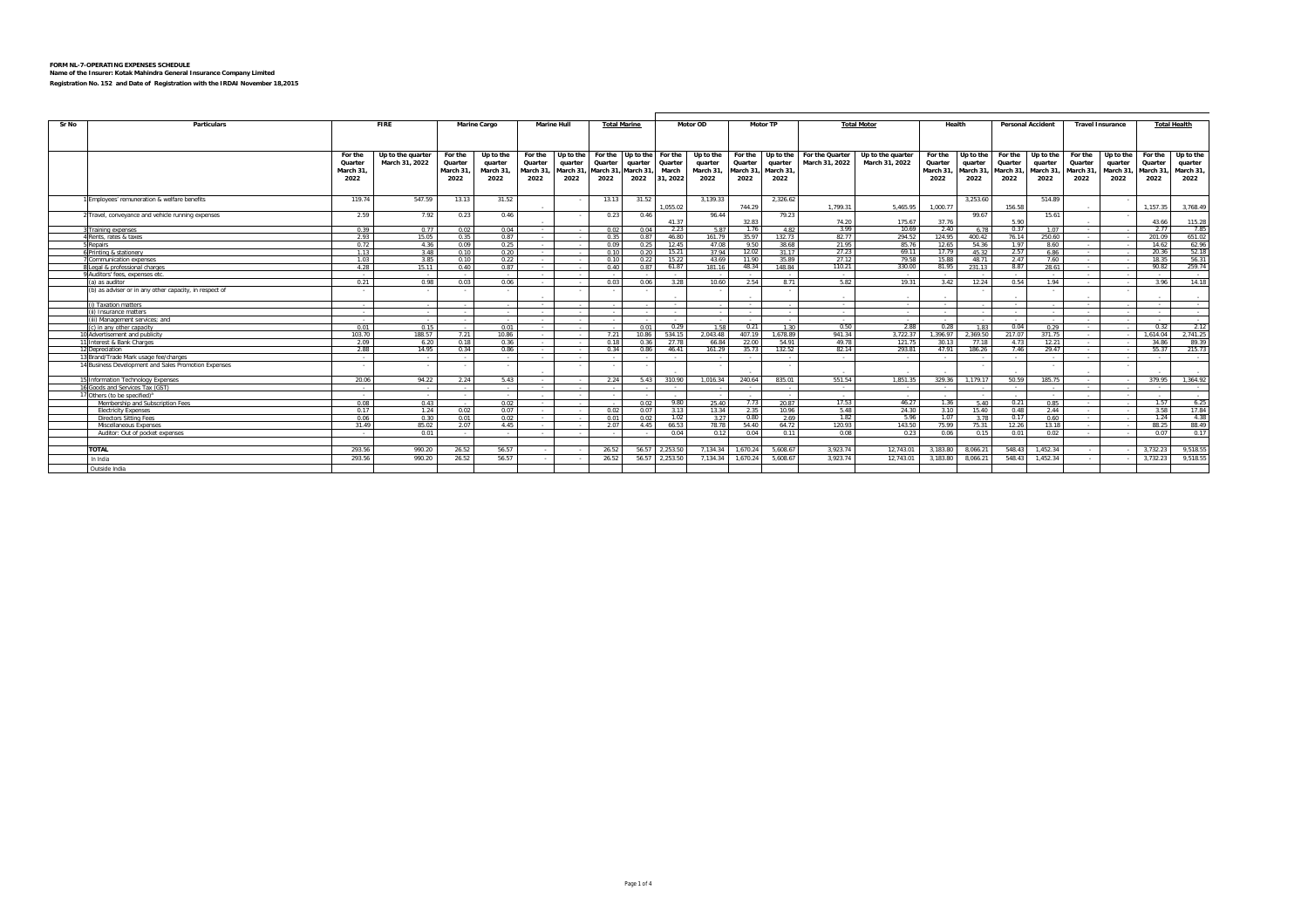| Sr No<br><b>Particulars</b>                                     |                      | <b>FIRE</b>       | <b>Marine Cargo</b> |                     |                           | <b>Marine Hull</b><br><b>Total Marine</b> |                           |                      |                  | Motor OD            | <b>Motor TP</b>      |                     |                  | <b>Total Motor</b>         | Health               |                     | <b>Personal Accident</b> |                      | <b>Travel Insurance</b> |                          | <b>Total Health</b> |                      |
|-----------------------------------------------------------------|----------------------|-------------------|---------------------|---------------------|---------------------------|-------------------------------------------|---------------------------|----------------------|------------------|---------------------|----------------------|---------------------|------------------|----------------------------|----------------------|---------------------|--------------------------|----------------------|-------------------------|--------------------------|---------------------|----------------------|
|                                                                 |                      |                   |                     |                     |                           |                                           |                           |                      |                  |                     |                      |                     |                  |                            |                      |                     |                          |                      |                         |                          |                     |                      |
|                                                                 |                      |                   |                     |                     |                           |                                           |                           |                      |                  |                     |                      |                     |                  |                            |                      |                     |                          |                      |                         |                          |                     |                      |
|                                                                 | For the              | Up to the quarter | For the             | Up to the           | For the                   | Up to the                                 | For the Up to the For the |                      |                  | Up to the           |                      | For the Up to the   | For the Quarter  | Up to the quarter          | For the              | Up to the           |                          | For the Up to the    | For the                 | Up to the                | For the             | Up to the            |
|                                                                 | Quarter<br>March 31. | March 31, 2022    | Quarter<br>March 31 | quarter<br>March 31 | Quarter<br>March 31       | quarter<br>March 31                       | Quarter<br>March 31.      | quarter<br>March 31. | Quarter<br>March | quarter<br>March 31 | Quarter<br>March 31, | quarter<br>March 31 | March 31, 2022   | March 31, 2022             | Quarter<br>March 31, | quarter<br>March 31 | Quarter<br>March 31      | quarter<br>March 31, | Quarter<br>March 31     | quarter<br>March 31,     | Quarter<br>March 31 | quarter<br>March 31, |
|                                                                 | 2022                 |                   | 2022                | 2022                | 2022                      | 2022                                      | 2022                      | 2022                 | 31, 2022         | 2022                | 2022                 | 2022                |                  |                            | 2022                 | 2022                | 2022                     | 2022                 | 2022                    | 2022                     | 2022                | 2022                 |
|                                                                 |                      |                   |                     |                     |                           |                                           |                           |                      |                  |                     |                      |                     |                  |                            |                      |                     |                          |                      |                         |                          |                     |                      |
| Employees' remuneration & welfare benefits                      | 119.74               | 547.59            | 13.13               | 31.52               |                           |                                           | 13.13                     | 31.52                |                  | 3.139.33            |                      | 2,326.62            |                  |                            |                      | 3.253.60            |                          | 514.89               |                         | $\sim$                   |                     |                      |
|                                                                 |                      |                   |                     |                     |                           |                                           |                           |                      | 1.055.02         |                     | 744.29               |                     | 1.799.31         | 5,465.95                   | 1.000.77             |                     | 156.58                   |                      |                         |                          | 1.157.35            | 3,768.49             |
| 2 Travel, conveyance and vehicle running expenses               | 2.59                 | 7.92              | 0.23                | 0.46                |                           |                                           | 0.23                      | 0.46                 | 41.37            | 96.44               | 32.83                | 79.23               | 74 20            | 175.67                     | 37.76                | 99.67               | 5.90                     | 15.61                |                         |                          | 43.66               | 115.28               |
| Training expenses                                               | 0.39                 | 0.77              | 0.02                | 0.04                | $\sim 10^{-11}$           |                                           | 0.02                      | 0.04                 | 2.23             | 5.87                | 1.76                 | 482                 | 3.99             | 10.69                      | 2.40                 | 6.78                | 0.37                     | 1.07                 | $\sim$ $\sim$           |                          | 2.77                | 785                  |
| Rents, rates & taxes                                            | 2.93                 | 15.05             | 0.35                | 0.87                | $\sim$                    |                                           | 0.35                      | 0.87                 | 46.80            | 161.79              | 35.97                | 132 73              | 82.77            | 294.52                     | 124.95               | 400 42              | 76.14                    | 250.60               | $\sim$                  |                          | 201.09              | 651.02               |
| 5 Repairs                                                       | 0.72                 | 4.36              | 0.09                | 0.25                | $\sim$                    |                                           | 0.09                      | 0.25                 | 12.45            | 47.08               | 9.50                 | 38.68               | 21.95            | 85.76                      | 12.65                | 54.36               | 1.97                     | 8.60                 | $\sim$                  | $\sim$                   | 14.62               | 62.96                |
| 6 Printing & stationery                                         | 1.13                 | 3.48              | 0.10                | 0.20                | $\sim$                    |                                           | 0.10                      | 0.20                 | 15.21            | 37.94               | 12.02                | 31.17               | 27.23            | 69.11                      | 17.79                | 45.32               | 2.57                     | 6.86                 | $\sim$                  | $\sim$                   | 20.36               | 52.18                |
| Communication expenses                                          | 1.03                 | 3.85              | 0.10                | 0.22                | $\sim 10^{-11}$           | <b>College</b>                            | 0.10                      | 0.22                 | 15.22            | 43.69               | 11 90                | 35.89               | 27.12            | 79.58                      | 15.88                | 48.71               | 2.47                     | 7.60                 | $\sim$                  | $\sim$ 100 $\mu$         | 18.35               | 56.31                |
| Legal & professional charges<br>9 Auditors' fees, expenses etc. | 4.28                 | 15.11             | 0.40                | 0.87                | $\sim 10^{-11}$<br>$\sim$ | $\sim$<br>$\sim$                          | 0.40                      | 0.87                 | 61.87<br>$\sim$  | 181.16              | 48.34<br>$\sim$      | 148.84              | 110.21<br>$\sim$ | 330.00<br>$\sim$ 100 $\mu$ | 81.95                | 231.13              | 8.87<br><b>Contract</b>  | 28.61<br>$\sim$      | $\sim$<br>$\sim$        | $\sim$ 100 $\mu$         | 90.82<br>$\sim$     | 259.74<br>$\sim$     |
| (a) as auditor                                                  | $\sim$<br>0.21       | $\sim$<br>0.98    | 0.03                | 0.06                | <b>Contract Contract</b>  | $\sim$                                    | 0.03                      | 0.06                 | 3.28             | 10.60               | 2.54                 | 8.71                | 5.82             | 19.31                      | 3.42                 | 12.24               | 0.54                     | 1.94                 | $\sim$                  | $\sim$<br>$\sim$         | 3.96                | 14.18                |
| (b) as adviser or in any other capacity, in respect of          |                      | $\sim$            |                     |                     |                           |                                           |                           |                      |                  |                     |                      |                     |                  |                            |                      |                     |                          |                      |                         | $\sim$                   |                     |                      |
|                                                                 |                      |                   |                     |                     |                           |                                           |                           |                      |                  |                     | $\sim$               |                     | $\sim$           |                            |                      |                     | $\sim$                   |                      |                         |                          |                     | $\sim$               |
| (i) Taxation matters                                            | $\sim$               | $\sim$            |                     |                     | $\sim$                    |                                           |                           |                      | $\sim$ 100 $\mu$ |                     | $\sim$               |                     | $\sim$ $-$       | $\sim$ $\sim$              | $\sim$               |                     | $\sim 10^{-11}$          |                      | $\sim$                  |                          | $\sim$              | $\sim$ $\sim$        |
| (ii) Insurance matters                                          | $\sim$               | $\sim$ 100 $\mu$  |                     | $\sim$              | $\sim$                    | $\sim 100$                                | $\sim$                    | $\sim$               | $\sim 10^{-1}$   | $\sim 10^{-1}$      | $\sim 10^{-11}$      |                     | $\sim 10^{-1}$   | $\sim$                     | $\sim$               |                     | <b>Contract</b>          | $\sim$               | $\sim$                  | $\sim$ 100 $\mu$         | $\sim 100$          | $\sim 10^{-1}$       |
| (iii) Management services: and                                  | $\sim$               | $\sim$            |                     |                     | $\sim$                    |                                           |                           |                      | $\sim$           |                     | $\sim$               |                     | $\sim$           | $\sim$                     |                      |                     | $\sim$                   |                      | $\sim$                  | $\sim$                   | $\sim$              | $\sim$               |
| (c) in any other capacity                                       | 0.01                 | 0.15              |                     | 0.01                | $\sim$                    | <b>College</b>                            | - 2                       | 0.01                 | 0.29             | 1.58                | 0.21                 | 1.30                | 0.50             | 2.88                       | 0.28                 | 1.83                | 0.04                     | 0.29                 | $\sim$                  | $\sim$                   | 0.32                | 2.12                 |
| 10 Advertisement and publicity                                  | 103.70               | 188.57            | 7.21                | 10.86               | $\sim$                    | $\sim$                                    | 7.21                      | 10.86                | 534.15           | 2.043.48            | 407.19               | 1.678.89            | 941.34           | 3.722.37                   | 1.396.97             | 2.369.50            | 217.07                   | 371.75               | $\sim$                  | $\sim$                   | 1.614.04            | 2.741.25             |
| 11 Interest & Bank Charges                                      | 2.09                 | 6.20              | 0.18                | 0.36                | $\sim$ 100 $\mu$          | $\sim$                                    | 0.18                      | 0.36                 | 27.78            | 66.84               | 22.00                | 54.91               | 49.78            | 121.75                     | 30.13                | 77.18               | 4.73                     | 12.21                | $\sim$ 100 $\pm$        | $\sim$ 100 $\mu$         | 34.86               | 89.39                |
| 12 Depreciation                                                 | 2.88                 | 14.95             | 0.34                | 0.86                | <b>Contract Contract</b>  | $\sim$                                    | 0.34                      | 0.86                 | 46.41            | 161.29              | 35.73                | 132.52              | 82.14            | 293.81                     | 47.91                | 186.26              | 7.46                     | 29.47                | $\sim$                  | $\sim$                   | 55.37               | 215.73               |
| 13 Brand/Trade Mark usage fee/charges                           | - 2                  |                   |                     |                     | $\sim$                    |                                           |                           |                      | $\sim$ 100 $\mu$ |                     | $\sim$               |                     | $\sim$           | $\sim$                     | $\sim$               |                     | $\sim$                   |                      | $\sim$                  |                          | $\sim 100$          | $\sim$               |
| 14 Business Development and Sales Promotion Expenses            | $\sim$               | $\sim$            |                     |                     |                           |                                           |                           |                      |                  |                     |                      |                     |                  |                            |                      |                     |                          |                      |                         | $\sim$                   |                     | $\sim$               |
| 15 Information Technology Expenses                              | 20.06                | 94.22             | 2.24                | 5.43                | $\sim$                    | $\sim$                                    | 2.24                      | 5.43                 | 310.90           | 1.016.34            | 240.64               | 835.01              | 551.54           | 1.851.35                   | 329.36               | 1.179.17            | 50.59                    | 185.75               | $\sim$                  | $\sim$                   | 379.95              | 1.364.92             |
| 16 Goods and Services Tax (GST)                                 | $\sim$               | $\sim$ 100 $\mu$  |                     | $\sim$              | $\sim$                    | $\sim$                                    |                           |                      | $\sim$           |                     | $\sim$               |                     | $\sim$           | $\sim$ $\sim$              |                      |                     | $\sim 10^{-1}$           | $\sim$               | $\sim$                  | $\sim$                   | $\sim$              | $\sim$               |
| 17 Others (to be specified) <sup>a</sup>                        | $\sim$               | $\sim$            |                     |                     |                           |                                           |                           |                      | $\sim$           |                     | $\sim$               |                     | $\sim$           | $\sim$                     |                      |                     | $\sim$                   |                      |                         | $\overline{\phantom{a}}$ | $\sim$              | $\sim$               |
| Membership and Subscription Fees                                | 0.08                 | 0.43              | $\sim$              | 0.02                | $\sim 10^{-11}$           | $\sim 100$                                | $\sim$                    | 0.02                 | 9.80             | 25.40               | 7.73                 | 20.87               | 17.53            | 46.27                      | 1.36                 | 5.40                | 0.21                     | 0.85                 | $\sim$                  | $\sim$ 100 $\mu$         | 1.57                | 6.25                 |
| <b>Electricity Expenses</b>                                     | 0.17                 | 1.24              | 0.02                | 0.07                | $\sim$                    | $\sim 100$                                | 0.02                      | 0.07                 | 3.13             | 13.34               | 2.35                 | 10.96               | 5.48             | 24.30                      | 3.10                 | 15.40               | 0.48                     | 2.44                 | $\sim$                  | $\sim$ 100 $\mu$         | 3.58                | 17.84                |
| <b>Directors Sitting Fees</b>                                   | 0.06                 | 0.30              | 0.01                | 0.02                | $\sim 10^{-11}$           | $\sim$                                    | 0.01                      | 0.02                 | 1.02             | 3.27                | 0.80                 | 2.69                | 1.82             | 5.96                       | 1.07                 | 3.78                | 0.17                     | 0.60                 | $\sim$                  | $\sim$ 100 $\mu$         | 1.24                | 4 3 8                |
| Miscellaneous Expenses                                          | 31.49                | 85.02             | 2.07                | 4.45                |                           |                                           | 2.07                      | 4.45                 | 66.53            | 78.78               | 54.40                | 64.72               | 120.93           | 143.50                     | 75.99                | 75.31               | 12.26                    | 13.18                | $\sim$                  |                          | 88.25               | 88.49                |
| Auditor: Out of pocket expenses                                 | $\sim$               | 0.01              |                     |                     | $\sim$                    |                                           |                           |                      | 0.04             | 0.12                | 0.04                 | 0.11                | 0.08             | 0.23                       | 0.06                 | 0.15                | 0.01                     | 0.02                 | $\sim$                  | $\sim$                   | 0.07                | 0.17                 |
| <b>TOTAL</b>                                                    | 293.56               | 990.20            | 26.52               | 56.57               |                           |                                           | 26.52                     | 56.57                | 2.253.50         | 7.134.34            | 1.670.24             | 5.608.67            | 3.923.74         | 12.743.01                  | 3,183.80             | 8.066.21            | 548.43                   | 1,452.34             |                         |                          | 3,732.23            | 9.518.55             |
| In India                                                        | 293.56               | 990.20            | 26.52               | 56.57               |                           |                                           | 26.52                     |                      | 56.57 2,253.50   | 7,134.34            | 1,670.24             | 5,608.67            | 3,923.74         | 12,743.01                  | 3,183.80             | 8,066.21            | 548.43                   | 1,452.34             |                         |                          | 3,732.23            | 9,518.55             |
|                                                                 |                      |                   |                     |                     |                           |                                           |                           |                      |                  |                     |                      |                     |                  |                            |                      |                     |                          |                      |                         |                          |                     |                      |
| Outside India                                                   |                      |                   |                     |                     |                           |                                           |                           |                      |                  |                     |                      |                     |                  |                            |                      |                     |                          |                      |                         |                          |                     |                      |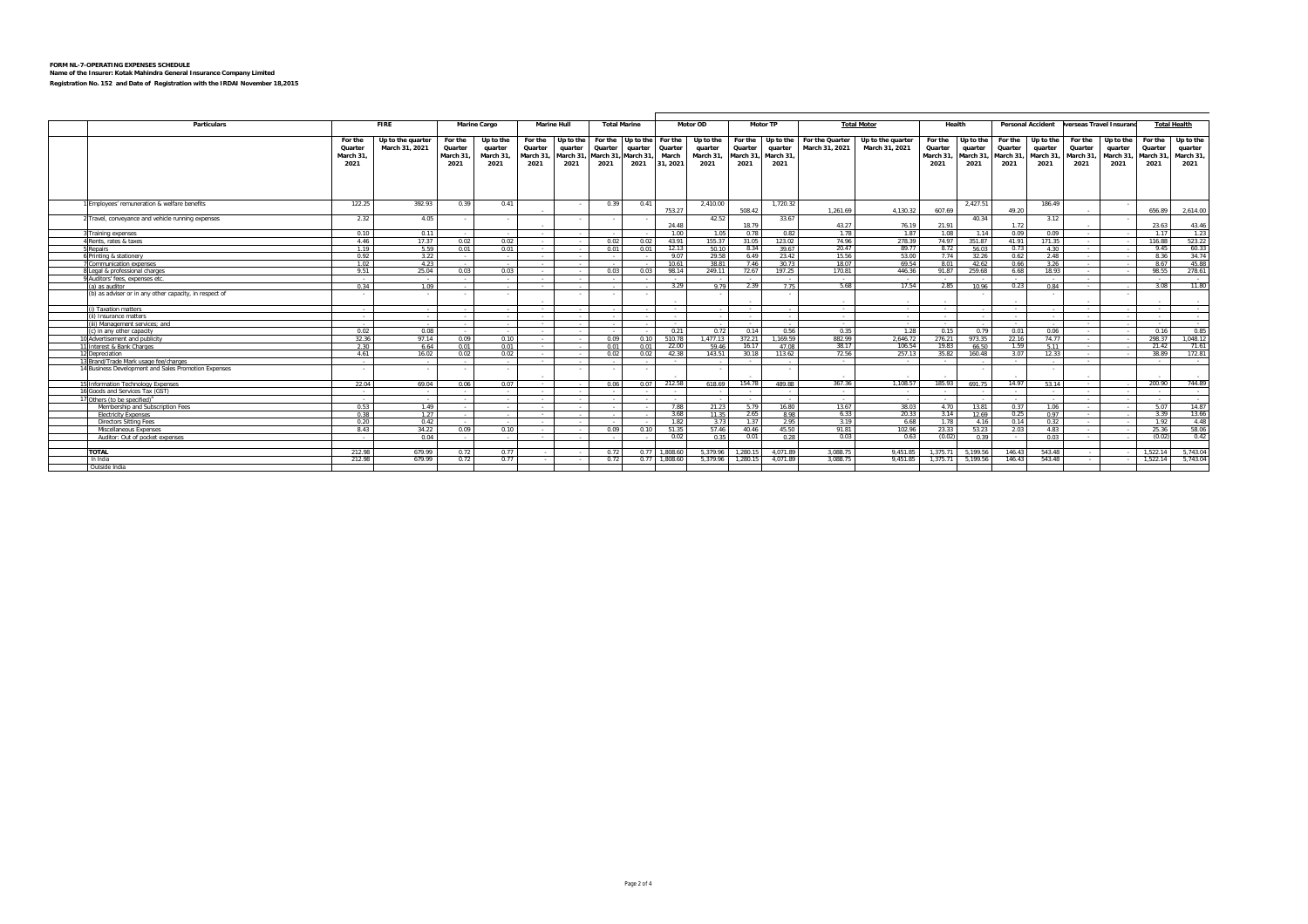| Particulars                                            |                        | <b>FIRE</b>              |          | <b>Marine Cargo</b> |                  | <b>Marine Hull</b> | <b>Total Marine</b>       |         | Motor OD        |            |                | Motor TP      |                       | <b>Total Motor</b> | Health   |           |                     | <b>Personal Accident</b> | erseas Travel Insuran |                          | <b>Total Health</b> |                 |
|--------------------------------------------------------|------------------------|--------------------------|----------|---------------------|------------------|--------------------|---------------------------|---------|-----------------|------------|----------------|---------------|-----------------------|--------------------|----------|-----------|---------------------|--------------------------|-----------------------|--------------------------|---------------------|-----------------|
|                                                        | For the                | Up to the quarter        | For the  | Up to the           | For the          | Up to the          | For the Up to the For the |         |                 | Up to the  | For the        | Up to the     | For the Quarter       | Up to the quarter  | For the  | Up to the |                     | For the Up to the        | For the               | Up to the                | For the             | Up to the       |
|                                                        | Quarter                | March 31, 2021           | Quarter  | quarter             | Quarter          | quarter            | Quarter                   | quarter | Quarter         | quarter    | Quarter        | quarter       | March 31, 2021        | March 31, 2021     | Quarter  | quarter   | Quarter             | quarter                  | Quarter               | quarter                  | Quarter             | quarter         |
|                                                        | March 31,              |                          | March 31 | March 31            | March 31         | March 31           | March 31, March 31, March |         |                 | March 31   | March 31,      | March 31      |                       |                    | March 31 |           | March 31, March 31, | March 31                 | March 31              | March 31                 | March 31            | March 31        |
|                                                        | 2021                   |                          | 2021     | 2021                | 2021             | 2021               | 2021                      | 2021    | 31, 2021        | 2021       | 2021           | 2021          |                       |                    | 2021     | 2021      | 2021                | 2021                     | 2021                  | 2021                     | 2021                | 2021            |
|                                                        |                        |                          |          |                     |                  |                    |                           |         |                 |            |                |               |                       |                    |          |           |                     |                          |                       |                          |                     |                 |
|                                                        |                        |                          |          |                     |                  |                    |                           |         |                 |            |                |               |                       |                    |          |           |                     |                          |                       |                          |                     |                 |
|                                                        |                        |                          |          |                     |                  |                    |                           |         |                 |            |                |               |                       |                    |          |           |                     |                          |                       |                          |                     |                 |
|                                                        |                        |                          |          |                     |                  |                    |                           |         |                 |            |                |               |                       |                    |          |           |                     |                          |                       |                          |                     |                 |
| Employees' remuneration & welfare benefits             | 122.25                 | 392.93                   | 0.39     | 0.41                |                  |                    | 0.39                      | 0.41    |                 | 2.410.00   |                | 1.720.32      |                       |                    |          | 2.427.51  |                     | 186.49                   |                       |                          |                     |                 |
|                                                        |                        |                          |          |                     |                  |                    |                           |         | 753.27          |            | 508.42         |               | 1.261.69              | 4.130.32           | 607.69   |           | 49.20               |                          |                       |                          | 656.89              | 2,614.00        |
| 7 Travel, conveyance and vehicle running expenses      | 2.32                   | 4.05                     |          |                     |                  |                    | $\sim$                    |         |                 | 42.52      |                | 33.67         |                       |                    |          | 40.34     |                     | 3.12                     |                       |                          |                     |                 |
|                                                        |                        |                          |          |                     |                  |                    |                           |         | 24.48           |            | 18.79          |               | 43.27                 | 76.19              | 21.91    |           | 1.72                |                          |                       |                          | 23.63               | 43.46           |
| Training expenses                                      | 0.10                   | 0.11                     |          |                     | $\sim$           |                    |                           |         | 1.00            | 1.05       | 0.78           | 0.82          | 1.78                  | 1.87               | 1.08     | 1.14      | 0.09                | 0.09                     | $\sim$                |                          | 1 1 7               | 1.23            |
| 4 Rents, rates & taxes                                 | 4 4 6                  | 17.37                    | 0.02     | 0.02                | $\sim$           |                    | 0.02                      | 0.02    | 43.91           | 155.37     | 31.05          | 123.02        | 74.96                 | 278.39             | 74.97    | 351 87    | 41.91               | 171.35                   | $\sim$                |                          | 116.88              | 523.22          |
| 5 Repairs                                              | 1.19                   | 5.59                     | 0.01     | 0.01                | $\sim$           |                    | 0.01                      | 0.01    | 12.13           | 50.10      | 8.34           | 39.67         | 20.47                 | 89.77              | 8.72     | 56.03     | 0.73                | 4.30                     | $\sim$                |                          | 945                 | 60.33           |
| 6 Printing & stationery                                | 0.92                   | 3.22                     |          |                     | $\sim$           |                    |                           |         | 9.07            | 29.58      | 6.49           | 23.42         | 15.56                 | 53.00              | 7.74     | 32.26     | 0.62                | 2.48                     | $\sim$                | $\sim$                   | 8.36                | 34.74           |
| Communication expenses                                 | 1.02                   | 4.23                     |          |                     | $\sim$           |                    |                           |         | 10.61           | 38.81      | 7.46           | 30.73         | 18.07                 | 69.54              | 8.01     | 42.62     | 0.66                | 3.26                     | $\sim$                |                          | 8.67                | 45.88           |
| 8 Legal & professional charges                         | 9.51                   | 25.04                    | 0.03     | 0.03                | $\sim$           |                    | 0.03                      | 0.03    | 98.14           | 249.11     | 72.67          | 197.25        | 170.81                | 446.36             | 91.87    | 259.68    | 6.68                | 18 93                    | $\sim$                |                          | 98.55               | 278.61          |
| 9 Auditors' fees, expenses etc.                        | $\sim 10^{-1}$<br>0.34 | $\sim$ 100 $\mu$<br>1.09 | $\sim$   | $\sim$              | $\sim$<br>$\sim$ |                    | $\overline{\phantom{a}}$  |         | $\sim$<br>3.29  | 9.79       | $\sim$<br>2.39 | $\sim$<br>775 | $\sim$ $\sim$<br>5.68 | $\sim$<br>17.54    | 2.85     | 10.96     | $\sim$<br>0.23      | $\sim$<br>0.84           | $\sim$<br>$\sim$      |                          | 3.08                | $\sim$<br>11.80 |
| (a) as auditor                                         |                        |                          |          |                     |                  |                    |                           |         |                 |            |                |               |                       |                    |          |           |                     |                          |                       |                          |                     |                 |
| (b) as adviser or in any other capacity, in respect of | $\sim$                 | $\sim$                   |          |                     |                  |                    | $\sim$                    |         |                 |            |                |               | $\sim$                |                    |          |           |                     |                          |                       |                          |                     |                 |
| (i) Taxation matters                                   | $\sim$                 | $\sim$                   |          |                     | $\sim$           |                    |                           |         | $\sim$          |            | $\sim 100$     |               | $\sim$ $\sim$         | $\sim$ $\sim$      | $\sim$   |           | $\sim 10^{-1}$      |                          | $\sim$                |                          | $\sim$              | $\sim$ $\sim$   |
| (ii) Insurance matters                                 | $\sim$                 | $\sim$ 100 $\mu$         |          |                     | $\sim$           |                    |                           |         | $\sim$          |            | $\sim$         |               | $\sim$                | $\sim$             |          |           | $\sim 10^{-1}$      |                          | $\sim$                |                          | $\sim$              | $\sim$          |
| (iii) Management services: and                         | $\sim$ 100 $\mu$       | $\sim$ 100 $\mu$         |          | $\sim$              | $\sim$ $\sim$    | $\sim$             | $\sim$ 100 $\mu$          |         | $\sim$          | $\sim 100$ | $\sim 100$     |               | $\sim 10^{-1}$        | $\sim$ $\sim$      |          |           | $\sim 10^{-1}$      | $\sim$                   | $\sim$                | $\sim$                   | $\sim$              | $\sim$          |
| (c) in any other capacity                              | 0.02                   | 0.08                     |          |                     | $\sim$           |                    |                           |         | 0.21            | 0.72       | 0.14           | 0.56          | 0.35                  | 1.28               | 0.15     | 0.79      | 0.01                | 0.06                     | $\sim$                | $\overline{\phantom{a}}$ | 0.16                | 0.85            |
| 10 Advertisement and publicity                         | 32.36                  | 97.14                    | 0.09     | 0.10                | $\sim$           |                    | 0.09                      | 0.10    | 510.78          | 1.477.13   | 372.21         | 1.169.59      | 882.99                | 2.646.72           | 276.21   | 973.35    | 22.16               | 74 77                    | $\sim$                |                          | 298.37              | 1.048.12        |
| 11 Interest & Bank Charges                             | 2.30                   | 6.64                     | 0.01     | 0.01                | $\sim$           |                    | 0.01                      | 0.01    | 22.00           | 59.46      | 16.17          | 47.08         | 38.17                 | 106.54             | 19.83    | 66.50     | 1.59                | 5.11                     | $\sim$                | $\sim$                   | 21.42               | 71.61           |
| 12 Depreciation                                        | 4 6 1                  | 16.02                    | 0.02     | 0.02                | $\sim$ $\sim$    |                    | 0.02                      | 0.02    | 42.38           | 143.51     | 30.18          | 113.62        | 72.56                 | 257 13             | 35.82    | 160.48    | 3.07                | 12.33                    | $\sim$                |                          | 38.89               | 17281           |
| 13 Brand/Trade Mark usage fee/charges                  |                        | - 2                      |          |                     | $\sim$           |                    |                           |         | $\sim$          |            | $\sim$         |               | $\sim$                | $\sim$             |          |           | $\sim$              |                          | $\sim$                |                          |                     | $\sim$ $\sim$   |
| 14 Business Development and Sales Promotion Expenses   | - 2                    | $\sim$                   |          |                     |                  |                    | $\sim$                    |         |                 |            |                |               |                       |                    |          |           |                     |                          |                       |                          |                     |                 |
|                                                        |                        |                          |          |                     |                  |                    |                           |         |                 |            |                |               | $\sim$                |                    |          |           |                     |                          |                       |                          |                     |                 |
| 15 Information Technology Expenses                     | 22.04                  | 69.04                    | 0.06     | 0.07                | $\sim$           |                    | 0.06                      | 0.07    | 212.58          | 618.69     | 154.78         | 48988         | 367.36                | 1.108.57           | 185.93   | 691.75    | 14.97               | 53.14                    | $\sim$                |                          | 200.90              | 744.89          |
| 16 Goods and Services Tax (GST)                        | $\sim$                 | $\sim$                   |          |                     | $\sim$           |                    |                           |         |                 |            | $\sim$         |               | $\sim$                | $\sim$             |          |           | $\sim 10^{-1}$      |                          | $\sim$                |                          |                     | $\sim$          |
| 17 Others (to be specified) <sup>a</sup>               | $\sim$                 | $\sim$ 100 $\mu$         |          |                     | - 11             |                    | $\overline{\phantom{a}}$  |         | $\sim$          |            | $\sim$         |               | $\sim$ $\sim$         | $\sim$             |          |           | $\sim$              |                          | $\sim$                | $\sim$                   |                     | $\sim$          |
| Membership and Subscription Fees                       | 0.53                   | 1.49                     | $\sim$   | - 1                 | $\sim$           |                    | $\sim$                    |         | 7.88            | 21.23      | 5.79           | 16.80         | 13.67                 | 38.03              | 4.70     | 13.81     | 0.37                | 1.06                     | $\sim$                | $\sim$                   | 5.07                | 14.87           |
| <b>Electricity Expenses</b>                            | 0.38                   | 1.27                     | $\sim$   | $\sim$              | $\sim$           | $\sim$             | $\sim$                    |         | 3.68            | 11.35      | 2.65           | 8.98          | 6.33                  | 20.33              | 3.14     | 12.69     | 0.25                | 0.97                     | $\sim$                | $\sim$                   | 3.39                | 13.66           |
| <b>Directors Sitting Fees</b>                          | 0.20                   | 0.42                     |          |                     | $\sim$           |                    |                           |         | 1.82            | 3.73       | 1.37           | 2.95          | 3.19                  | 6.68               | 1.78     | 4.16      | 0.14                | 0.32                     | $\sim$                |                          | 1.92                | 4.48            |
| Miscellaneous Expenses                                 | 8.43                   | 34.22                    | 0.09     | 0.10                | $\sim$           |                    | 0.09                      | 0.10    | 51.35           | 57.46      | 40.46          | 45.50         | 91.81                 | 102.96             | 23.33    | 53.23     | 2.03                | 4.83                     | $\sim$                |                          | 25.36               | 58.06           |
| Auditor: Out of pocket expenses                        |                        | 0.04                     |          |                     | $\sim$           |                    |                           |         | 0.02            | 0.35       | 0.01           | 0.28          | 0.03                  | 0.63               | (0.02)   | 0.39      | <b>Contract</b>     | 0.03                     | $\sim$                |                          | (0.02)              | 0.42            |
| <b>TOTAL</b>                                           | 212.98                 | 679.99                   | 0.72     | 0.77                |                  |                    | 0.72                      |         | $0.77$ 1.808.6  | 5.379.96   | 1.280.15       | 4.071.89      | 3.088.75              | 9.451.85           | 1.375.71 | 5.199.56  | 146.43              | 543.48                   |                       |                          | 1.522.14            | 5.743.04        |
| In India                                               | 212.98                 | 679.99                   | 0.72     | 0.77                |                  |                    | 0.72                      |         | $0.77$ 1.808.60 | 5.379.96   | 1.280.15       | 4.071.89      | 3.088.75              | 9.451.85           | 1.375.71 | 5.199.56  | 146.43              | 543.48                   |                       |                          | 1.522.14            | 5.743.04        |
| Outside India                                          |                        |                          |          |                     |                  |                    |                           |         |                 |            |                |               |                       |                    |          |           |                     |                          |                       |                          |                     |                 |
|                                                        |                        |                          |          |                     |                  |                    |                           |         |                 |            |                |               |                       |                    |          |           |                     |                          |                       |                          |                     |                 |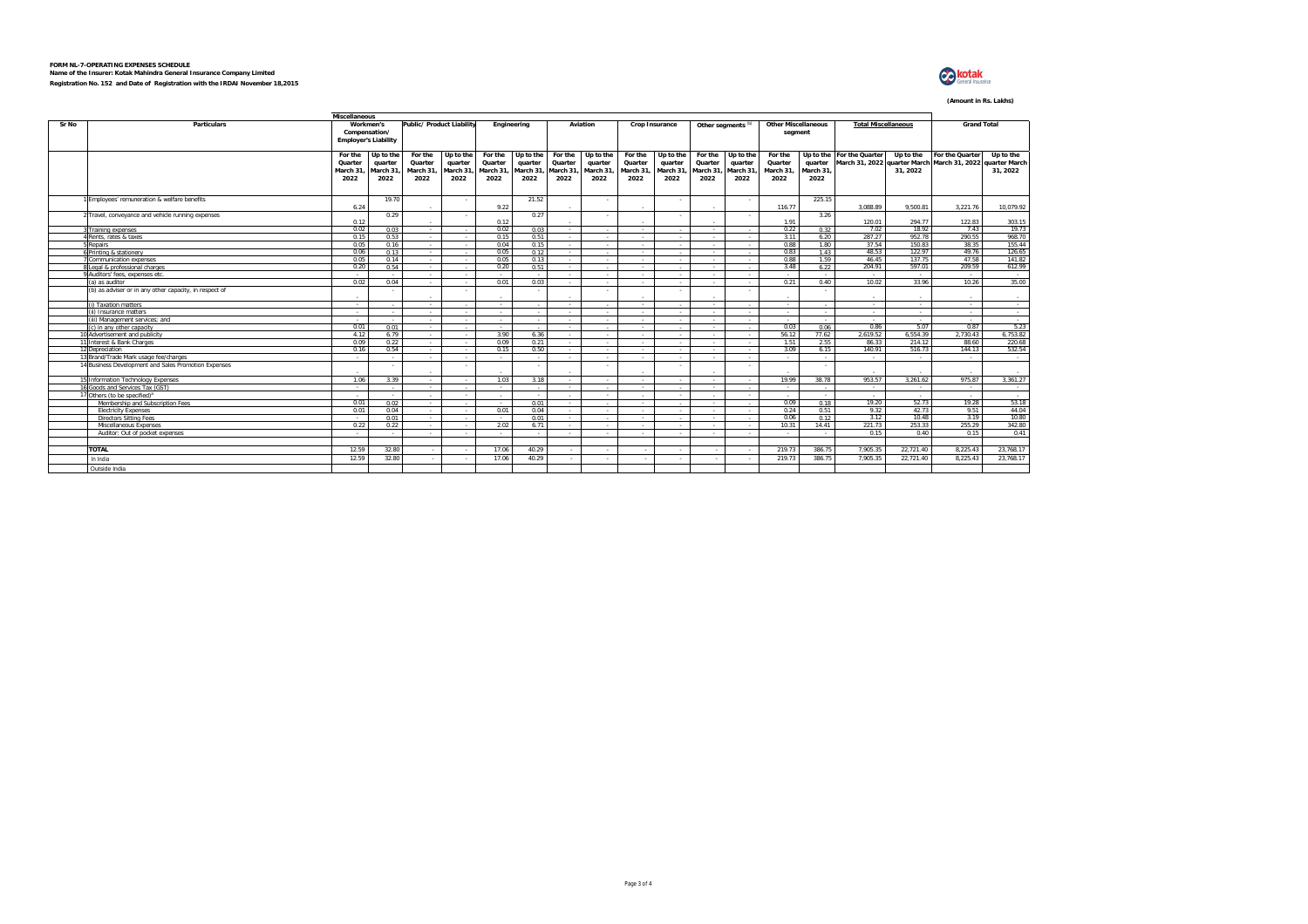

#### **(Amount in Rs. Lakhs)**

|       | <b>Miscellaneous</b>                                   |                                        |                                                           |                                         |                                          |                                        |                                           |                                        |                                          |                                         |                                           |                                         |                                          |                                         |                                       |                                                                                        |                            |                 |                      |
|-------|--------------------------------------------------------|----------------------------------------|-----------------------------------------------------------|-----------------------------------------|------------------------------------------|----------------------------------------|-------------------------------------------|----------------------------------------|------------------------------------------|-----------------------------------------|-------------------------------------------|-----------------------------------------|------------------------------------------|-----------------------------------------|---------------------------------------|----------------------------------------------------------------------------------------|----------------------------|-----------------|----------------------|
| Sr No | <b>Particulars</b>                                     |                                        | Workmen's<br>Compensation/<br><b>Employer's Liability</b> |                                         | Public/ Product Liability                |                                        | Engineering                               |                                        | Aviation                                 |                                         | <b>Crop Insurance</b>                     |                                         | Other segments <sup>(b)</sup>            |                                         | <b>Other Miscellaneous</b><br>segment |                                                                                        | <b>Total Miscellaneous</b> |                 | <b>Grand Total</b>   |
|       |                                                        | For the<br>Quarter<br>March 31<br>2022 | Up to the<br>quarter<br>March 31<br>2022                  | For the<br>Quarter<br>March 31.<br>2022 | Up to the<br>quarter<br>March 31<br>2022 | For the<br>Quarter<br>March 31<br>2022 | Up to the<br>quarter<br>March 31.<br>2022 | For the<br>Quarter<br>March 31<br>2022 | Up to the<br>quarter<br>March 31<br>2022 | For the<br>Quarter<br>March 31.<br>2022 | Up to the<br>quarter<br>March 31.<br>2022 | For the<br>Quarter<br>March 31.<br>2022 | Up to the<br>quarter<br>March 31<br>2022 | For the<br>Quarter<br>March 31.<br>2022 | quarter<br>March 31.<br>2022          | Up to the For the Quarter<br>March 31, 2022 quarter March March 31, 2022 quarter March | Up to the<br>31.2022       | For the Quarter | Up to the<br>31.2022 |
|       | 1 Employees' remuneration & welfare benefits           | 6.24                                   | 19.70                                                     |                                         |                                          | 9.22                                   | 21.52                                     |                                        |                                          |                                         |                                           |                                         | $\sim$                                   | 116.77                                  | 225.15                                | 3.088.89                                                                               | 9.500.81                   | 3.221.76        | 10.079.92            |
|       | 2 Travel, conveyance and vehicle running expenses      | 0.12                                   | 0.29                                                      |                                         |                                          | 0.12                                   | 0.27                                      |                                        |                                          | $\sim$                                  |                                           |                                         | $\sim$                                   | 1.91                                    | 3.26                                  | 120.01                                                                                 | 294.77                     | 122.83          | 303.15               |
|       | 3 Training expenses                                    | 0.02                                   | 0.03                                                      | $\sim$                                  |                                          | 0.02                                   | 0.03                                      | a.                                     |                                          | $\sim$                                  |                                           | $\sim$                                  | .                                        | 0.22                                    | 0.32                                  | 7.02                                                                                   | 18.92                      | 7.43            | 19.73                |
|       | 4 Rents, rates & taxes                                 | 0.15                                   | 0.53                                                      | $\sim$                                  |                                          | 0.15                                   | 0.51                                      | $\sim$                                 |                                          | $\sim$                                  | $\sim$                                    | $\sim$                                  | - 20                                     | 3.11                                    | 6.20                                  | 287.27                                                                                 | 952.78                     | 290.55          | 968.70               |
|       | 5 Repairs                                              | 0.05                                   | 0.16                                                      | $\sim$                                  |                                          | 0.04                                   | 0.15                                      | <b>Section</b>                         | $\sim$                                   | $\sim$                                  | $\sim$                                    | . .                                     | $\sim$                                   | 0.88                                    | 1.80                                  | 37.54                                                                                  | 15083                      | 38.35           | 155.44               |
|       | 6 Printing & stationery                                | 0.06                                   | 0.13                                                      | $\sim$                                  |                                          | 0.05                                   | 0.12                                      | $\sim$                                 | $\sim$                                   | $\sim$                                  | $\sim$                                    | $\sim$                                  | $\sim$                                   | 0.83                                    | 1.43                                  | 48.53                                                                                  | 122.97                     | 49.76           | 126.65               |
|       | <b>Communication expenses</b>                          | 0.05                                   | 0.14                                                      | $\sim$                                  |                                          | 0.05                                   | 0.13                                      | $\sim$                                 | $\sim$                                   | $\sim$                                  | $\sim$                                    | $\sim$                                  | $\sim$                                   | 0.88                                    | 1.59                                  | 46.45                                                                                  | 137.75                     | 47.58           | 141.82               |
|       | 8 Legal & professional charges                         | 0.20                                   | 0.54                                                      | $\sim$                                  |                                          | 0.20                                   | 0.51                                      | $\sim$                                 | $\sim$                                   | $\sim$                                  | $\sim$                                    | $\sim$                                  | 14                                       | 3.48                                    | 6.22                                  | 204.91                                                                                 | 597.01                     | 209.59          | 612.99               |
|       | 9 Auditors' fees, expenses etc.                        | $\sim$                                 | $\sim$                                                    | $\sim$                                  |                                          | $\sim$                                 |                                           | $\sim$                                 | $\sim$                                   | $\sim$                                  | $\sim$                                    | $\sim$                                  | $\sim$                                   | $\sim$                                  | $\sim$                                | $\sim$                                                                                 | $\sim$                     | $\sim$          | $\sim$               |
|       | (a) as auditor                                         | 0.02                                   | 0.04                                                      | $\sim$                                  |                                          | 0.01                                   | 0.03                                      | <b>Section</b>                         | $\sim$                                   | $\sim$                                  | $\sim$                                    | $\sim$                                  | - 20                                     | 0.21                                    | 0.40                                  | 10.02                                                                                  | 33.96                      | 10.26           | 35.00                |
|       | (b) as adviser or in any other capacity, in respect of | $\sim$                                 | $\sim$                                                    |                                         |                                          | $\sim$                                 |                                           |                                        |                                          | $\sim$                                  |                                           |                                         | $\sim$                                   | $\sim$                                  | $\sim$                                |                                                                                        | $\sim$                     | $\sim$          | $\sim$               |
|       | (i) Taxation matters                                   | $\sim$                                 | $\sim$                                                    | $\sim$                                  |                                          | $\sim$                                 |                                           | $\sim$                                 |                                          | $\sim$                                  |                                           | $\sim$                                  |                                          | $\sim$                                  |                                       |                                                                                        | $\sim$                     | $\sim$          | $\sim$               |
|       | (ii) Insurance matters                                 | $\sim$                                 | $\sim$                                                    | $\sim$                                  | - 2                                      | $\sim$                                 | $\sim$                                    | <b>Section</b>                         | $\sim$                                   | $\sim$                                  | $\sim$                                    | $\sim$                                  | $\sim 10^{-1}$                           | $\sim$                                  | $\sim$                                | a.                                                                                     | $\sim$                     | $\sim$          | $\sim$               |
|       | (iii) Management services: and                         | .                                      | $\sim$                                                    | $\sim$                                  |                                          | $\sim$                                 | $\sim$                                    | $\sim$                                 | $\sim$                                   | $\sim$                                  | $\sim$                                    | $\sim$                                  | - 20                                     | $\sim$                                  | $\sim$                                | a.                                                                                     | $\sim$                     | $\sim$          | $\sim$               |
|       | (c) in any other capacity                              | 0.01                                   | 0.01                                                      | $\sim$                                  | $\sim$                                   | $\sim$ $\sim$                          | $\sim$                                    | $\sim$                                 | $\sim$                                   | $\sim$                                  | $\sim 10^{-1}$                            | $\sim$                                  | $\sim$                                   | 0.03                                    | 0.06                                  | 0.86                                                                                   | 5.07                       | 0.87            | 5.23                 |
|       | 10 Advertisement and publicity                         | 4.12                                   | 6.79                                                      | $\sim$                                  |                                          | 3.90                                   | 6.36                                      | $\sim$                                 | $\sim$                                   | $\sim$                                  | $\sim$                                    | $\sim$                                  | 14                                       | 56.12                                   | 77.62                                 | 2.619.52                                                                               | 6.554.39                   | 2.730.43        | 6.753.82             |
|       | 11 Interest & Bank Charges                             | 0.09                                   | 0.22                                                      | $\sim$                                  |                                          | 0.09                                   | 0.21                                      | $\sim$                                 | $\sim$                                   | $\sim$                                  | $\sim$                                    | $\sim$                                  | $\sim$                                   | 1.51                                    | 2.55                                  | 86.33                                                                                  | 214.12                     | 88.60           | 220.68               |
|       | 12 Depreciation                                        | 0.16                                   | 0.54                                                      | $\sim$                                  |                                          | 0.15                                   | 0.50                                      | <b>Section</b>                         | - 2                                      | $\sim$                                  | $\sim$                                    | $\sim$                                  | $\sim$                                   | 3.09                                    | 6 15                                  | 140.91                                                                                 | 516.73                     | 144.13          | 532.54               |
|       | 13 Brand/Trade Mark usage fee/charges                  | $\sim$                                 | $\sim$                                                    | $\sim$                                  |                                          | $\sim$                                 |                                           | $\sim$                                 |                                          | $\sim$                                  | $\sim$                                    | $\sim$                                  |                                          | $\sim$                                  | $\sim$                                | $\sim$                                                                                 | $\sim$                     | $\sim$          | $\sim$ $\sim$        |
|       | 14 Business Development and Sales Promotion Expenses   |                                        | $\sim$                                                    |                                         | ٠                                        | ×                                      | $\sim$                                    |                                        |                                          | $\sim$                                  | ٠                                         |                                         | ٠.                                       | $\sim$                                  | $\sim$                                |                                                                                        |                            | $\sim$          | $\sim$               |
|       | 15 Information Technology Expenses                     | 1.06                                   | 3.39                                                      | $\sim$                                  |                                          | 1.03                                   | 3.18                                      | $\sim$                                 | $\sim$                                   | $\sim$                                  | $\sim$                                    |                                         | $\sim$                                   | 19.99                                   | 38.78                                 | 953.57                                                                                 | 3.261.62                   | 975.87          | 3.361.27             |
|       | 16 Goods and Services Tax (GST)                        | - 20                                   | $\sim$                                                    | $\sim$                                  |                                          | $\sim$                                 | $\sim$                                    | $\sim$                                 | - 2                                      | $\sim$                                  | - 11                                      | $\sim$                                  | $\sim$                                   | $\sim$                                  | $\sim$                                | n.                                                                                     | $\sim$                     | $\sim$          | $\sim$ $\sim$        |
|       | 17 Others (to be specified) <sup>a</sup>               | $\sim$                                 | $\sim$                                                    | $\sim$                                  | $\sim$                                   | $\sim$                                 | $\sim$                                    | $\sim$                                 | $\sim$                                   | $\sim$                                  | $\sim$                                    | $\sim$                                  | $\sim$                                   | $\sim$                                  | $\sim$                                | $\sim$                                                                                 | $\sim$                     | $\sim$          | $\sim$               |
|       | Membership and Subscription Fees                       | 0.01                                   | 0.02                                                      | $\sim$                                  |                                          | $\sim$                                 | 0.01                                      | $\sim$                                 | $\sim$                                   | $\sim$                                  | $\sim$                                    | $\sim$                                  | $\sim$                                   | 0.09                                    | 0.18                                  | 19.20                                                                                  | 52.73                      | 19.28           | 53.18                |
|       | <b>Electricity Expenses</b>                            | 0.01                                   | 0.04                                                      | $\sim$                                  |                                          | 0.01                                   | 0.04                                      | <b>ALC</b>                             | $\sim$                                   | $\sim$                                  | $\sim$                                    | $\sim$                                  | $\sim 10^{-1}$                           | 0.24                                    | 0.51                                  | 9.32                                                                                   | 42.73                      | 9.51            | 44.04                |
|       | <b>Directors Sitting Fees</b>                          | - 20                                   | 0.01                                                      | $\sim$                                  |                                          | $\sim$                                 | 0.01                                      | $\sim$                                 | $\sim$                                   | $\sim$                                  | $\sim$                                    | $\sim$                                  | ÷.                                       | 0.06                                    | 0.12                                  | 3.12                                                                                   | 10.48                      | 3.19            | 10.80                |
|       | Miscellaneous Expenses                                 | 0.22                                   | 0.22                                                      | $\sim$                                  |                                          | 2.02                                   | 6.71                                      | $\sim$                                 | $\sim$                                   | $\sim$                                  | $\sim$                                    | $\sim$                                  | $\sim 10^{-1}$                           | 10.31                                   | 14 41                                 | 221.73                                                                                 | 253.33                     | 255.29          | 342.80               |
|       | Auditor: Out of pocket expenses                        | $\sim$                                 | $\sim$                                                    | $\sim$                                  | $\sim$                                   | $\sim$                                 | $\sim$                                    | $\sim$                                 | $\sim$                                   | $\sim$                                  | $\sim$                                    | $\sim$                                  | $\sim$                                   | $\sim$                                  | $\sim$                                | 0.15                                                                                   | 0.40                       | 0.15            | 0.41                 |
|       |                                                        |                                        |                                                           |                                         |                                          |                                        |                                           |                                        |                                          |                                         |                                           |                                         |                                          |                                         |                                       |                                                                                        |                            |                 |                      |
|       | <b>TOTAL</b>                                           | 12.59                                  | 32.80                                                     | $\sim$                                  |                                          | 17.06                                  | 40.29                                     | $\sim$                                 | $\sim$                                   | $\sim$                                  | $\sim$                                    | ×.                                      | $\sim$                                   | 219.73                                  | 386.75                                | 7.905.35                                                                               | 22.721.40                  | 8.225.43        | 23,768.17            |
|       | In India                                               | 12.59                                  | 32.80                                                     | $\sim$                                  |                                          | 17.06                                  | 40.29                                     | $\sim$                                 | $\sim$                                   | $\sim$                                  | $\sim$                                    | $\sim$                                  | 14                                       | 219.73                                  | 386.75                                | 7,905.35                                                                               | 22,721.40                  | 8,225.43        | 23,768.17            |
|       | Outside India                                          |                                        |                                                           |                                         |                                          |                                        |                                           |                                        |                                          |                                         |                                           |                                         |                                          |                                         |                                       |                                                                                        |                            |                 |                      |